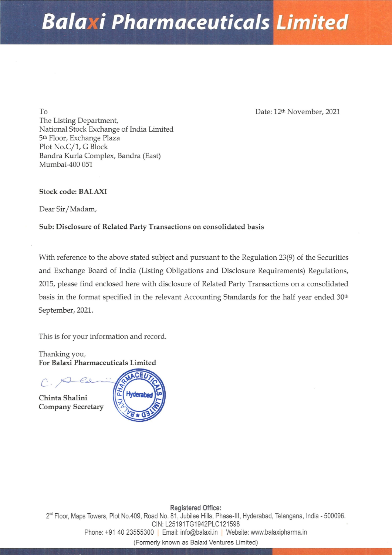# Balaxi Pharmaceuticals Limited

To Date: 12<sup>th</sup> November, 2021 The Listing Department, National Stock Exchange of India Limited 5th Floor, Exchange Plaza Plot No.C/1, G Block Bandra Kurla Complex, Bandra (East) Mumbai-400 051

Stock code: BALAXI

Dear Sir/Madam,

# Sub: Disclosure of Related Party Transactions on consolidated basis

Stock code: BALAXI<br>
Dear Sir/Madam,<br>
Sub: Disclosure of Related Party Transactions of<br>
With reference to the above stated subject and p<br>
and Exchange Board of India (Listing Obligation<br>
2015, please find enclosed here wit With reference to the above stated subject and pursuant to the Regulation 23(9) of the Securities and Exchange Board of India (Listing Obligations and Disclosure Requirements) Regulations, 2015, please find enclosed here with disclosure of Related Party Transactions on a consolidated basis in the format specified in the relevant Accounting Standards for the half year ended 30<sup>th</sup> September, 2021.

This is for your information and record.

Thanking you, For Balaxi Pharmaceuticals Limited

Chinta Shalini Company Secretary



Plot No.409<br>1 40 2355<br>F Registered Office: 2" Floor, Maps Towers, Plot No.409, Road No. 81, Jubilee Hills, Phase-lll, Hyderabad, Telangana, India - 500096. CIN: L25191TG1942PLC121598 Phone: +91 40 23555300 | Email: info@balaxi.in | Website: www.balaxipharma.in (Formerly known as Balaxi Ventures Limited)